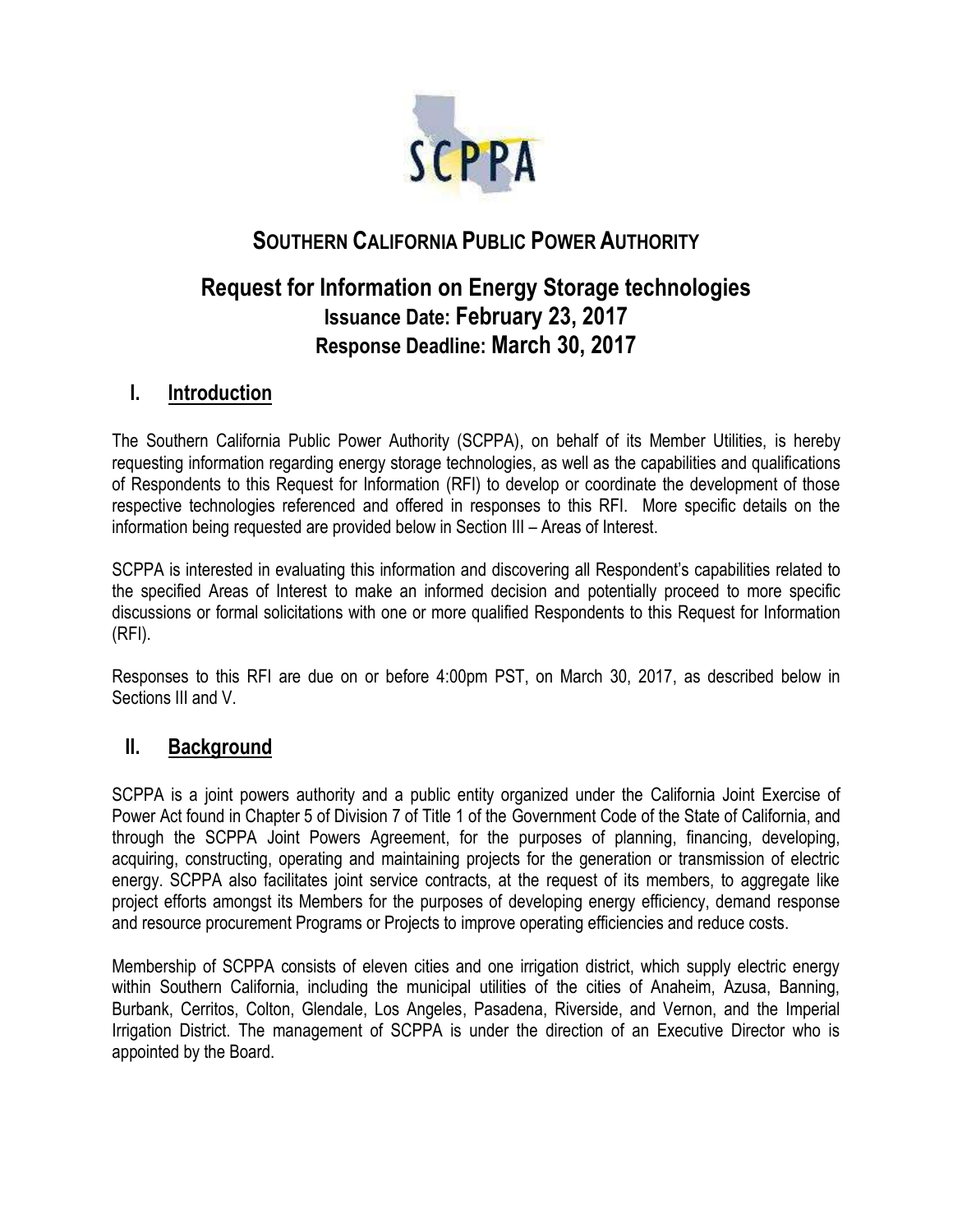

# **SOUTHERN CALIFORNIA PUBLIC POWER AUTHORITY**

# **Request for Information on Energy Storage technologies Issuance Date: February 23, 2017 Response Deadline: March 30, 2017**

## **I. Introduction**

The Southern California Public Power Authority (SCPPA), on behalf of its Member Utilities, is hereby requesting information regarding energy storage technologies, as well as the capabilities and qualifications of Respondents to this Request for Information (RFI) to develop or coordinate the development of those respective technologies referenced and offered in responses to this RFI. More specific details on the information being requested are provided below in Section III – Areas of Interest.

SCPPA is interested in evaluating this information and discovering all Respondent's capabilities related to the specified Areas of Interest to make an informed decision and potentially proceed to more specific discussions or formal solicitations with one or more qualified Respondents to this Request for Information (RFI).

Responses to this RFI are due on or before 4:00pm PST, on March 30, 2017, as described below in Sections III and V.

## **II. Background**

SCPPA is a joint powers authority and a public entity organized under the California Joint Exercise of Power Act found in Chapter 5 of Division 7 of Title 1 of the Government Code of the State of California, and through the SCPPA Joint Powers Agreement, for the purposes of planning, financing, developing, acquiring, constructing, operating and maintaining projects for the generation or transmission of electric energy. SCPPA also facilitates joint service contracts, at the request of its members, to aggregate like project efforts amongst its Members for the purposes of developing energy efficiency, demand response and resource procurement Programs or Projects to improve operating efficiencies and reduce costs.

Membership of SCPPA consists of eleven cities and one irrigation district, which supply electric energy within Southern California, including the municipal utilities of the cities of Anaheim, Azusa, Banning, Burbank, Cerritos, Colton, Glendale, Los Angeles, Pasadena, Riverside, and Vernon, and the Imperial Irrigation District. The management of SCPPA is under the direction of an Executive Director who is appointed by the Board.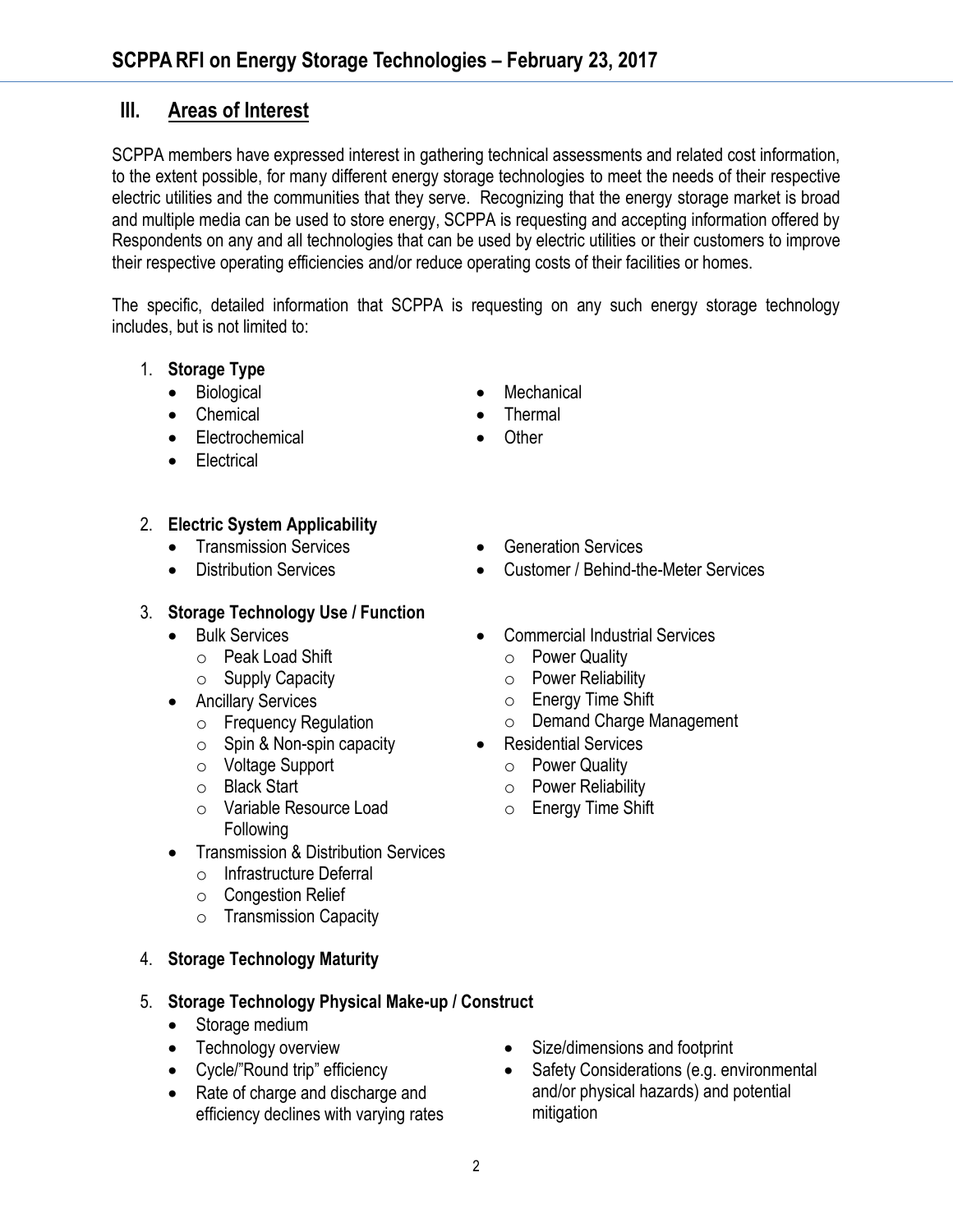# **III. Areas of Interest**

SCPPA members have expressed interest in gathering technical assessments and related cost information, to the extent possible, for many different energy storage technologies to meet the needs of their respective electric utilities and the communities that they serve. Recognizing that the energy storage market is broad and multiple media can be used to store energy, SCPPA is requesting and accepting information offered by Respondents on any and all technologies that can be used by electric utilities or their customers to improve their respective operating efficiencies and/or reduce operating costs of their facilities or homes.

The specific, detailed information that SCPPA is requesting on any such energy storage technology includes, but is not limited to:

- 1. **Storage Type**
	- Biological
	- Chemical
	- Electrochemical
	- Electrical

#### 2. **Electric System Applicability**

- Transmission Services
- Distribution Services

#### 3. **Storage Technology Use / Function**

- **•** Bulk Services
	- o Peak Load Shift
	- o Supply Capacity
- **•** Ancillary Services
	- o Frequency Regulation
	- $\circ$  Spin & Non-spin capacity
	- o Voltage Support
	- o Black Start
	- o Variable Resource Load Following
- Transmission & Distribution Services
	- o Infrastructure Deferral
	- o Congestion Relief
	- o Transmission Capacity

#### 4. **Storage Technology Maturity**

#### 5. **Storage Technology Physical Make-up / Construct**

- Storage medium
- Technology overview
- Cycle/"Round trip" efficiency
- Rate of charge and discharge and efficiency declines with varying rates

**Other** 

**Mechanical** Thermal

- Generation Services
- Customer / Behind-the-Meter Services
- Commercial Industrial Services
	- o Power Quality
	- o Power Reliability
	- o Energy Time Shift
	- o Demand Charge Management
- Residential Services
	- o Power Quality
	- o Power Reliability
	- o Energy Time Shift

- Size/dimensions and footprint
- Safety Considerations (e.g. environmental and/or physical hazards) and potential mitigation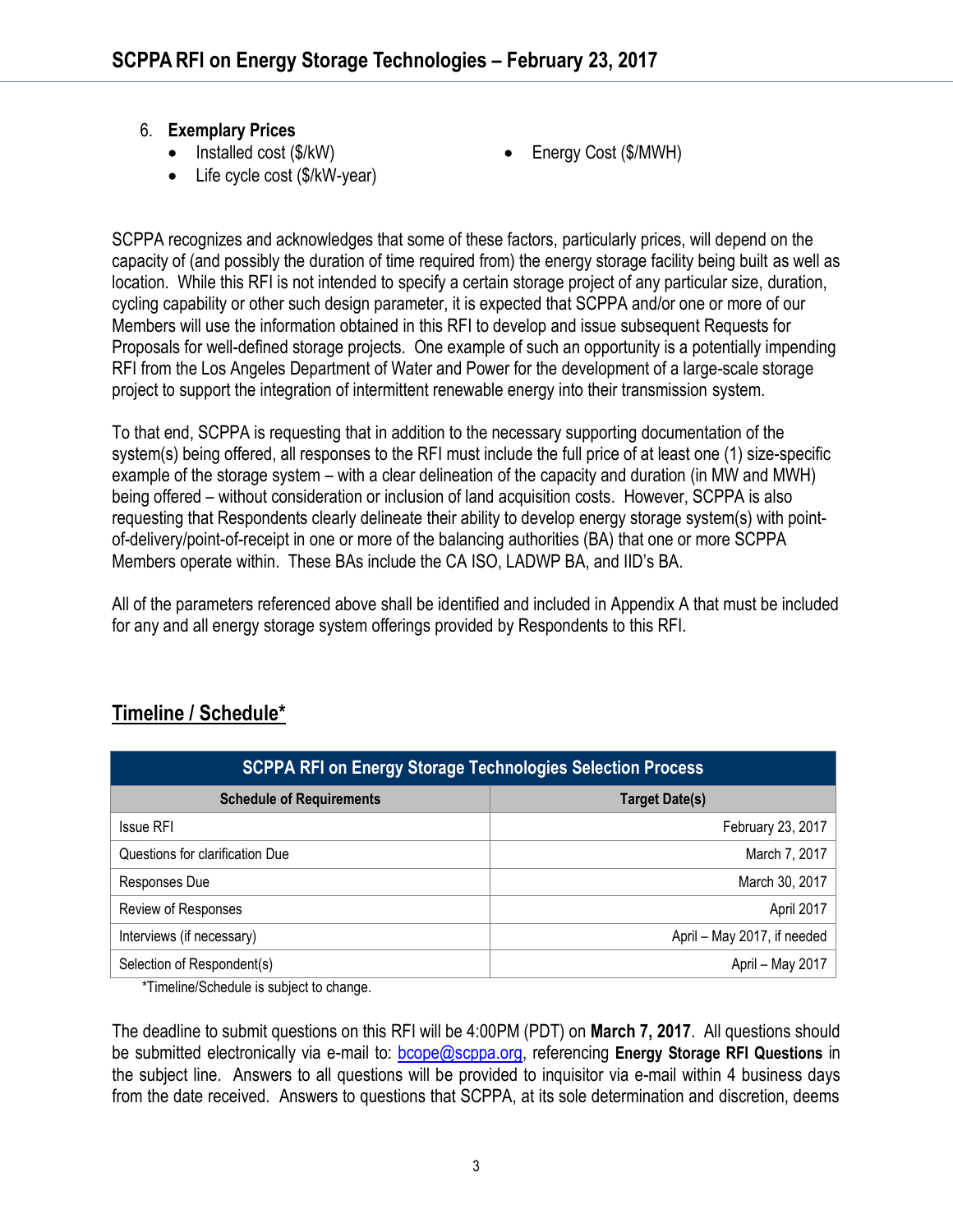#### 6. **Exemplary Prices**

- $\bullet$  Installed cost (\$/kW)
- Life cycle cost (\$/kW-year)
- Energy Cost (\$/MWH)

SCPPA recognizes and acknowledges that some of these factors, particularly prices, will depend on the capacity of (and possibly the duration of time required from) the energy storage facility being built as well as location. While this RFI is not intended to specify a certain storage project of any particular size, duration, cycling capability or other such design parameter, it is expected that SCPPA and/or one or more of our Members will use the information obtained in this RFI to develop and issue subsequent Requests for Proposals for well-defined storage projects. One example of such an opportunity is a potentially impending RFI from the Los Angeles Department of Water and Power for the development of a large-scale storage project to support the integration of intermittent renewable energy into their transmission system.

To that end, SCPPA is requesting that in addition to the necessary supporting documentation of the system(s) being offered, all responses to the RFI must include the full price of at least one (1) size-specific example of the storage system – with a clear delineation of the capacity and duration (in MW and MWH) being offered – without consideration or inclusion of land acquisition costs. However, SCPPA is also requesting that Respondents clearly delineate their ability to develop energy storage system(s) with pointof-delivery/point-of-receipt in one or more of the balancing authorities (BA) that one or more SCPPA Members operate within. These BAs include the CA ISO, LADWP BA, and IID's BA.

All of the parameters referenced above shall be identified and included in Appendix A that must be included for any and all energy storage system offerings provided by Respondents to this RFI.

| <b>SCPPA RFI on Energy Storage Technologies Selection Process</b> |                             |
|-------------------------------------------------------------------|-----------------------------|
| <b>Schedule of Requirements</b>                                   | <b>Target Date(s)</b>       |
| <b>Issue RFI</b>                                                  | February 23, 2017           |
| Questions for clarification Due                                   | March 7, 2017               |
| Responses Due                                                     | March 30, 2017              |
| Review of Responses                                               | April 2017                  |
| Interviews (if necessary)                                         | April - May 2017, if needed |
| Selection of Respondent(s)                                        | April - May 2017            |

# **Timeline / Schedule\***

\*Timeline/Schedule is subject to change.

The deadline to submit questions on this RFI will be 4:00PM (PDT) on **March 7, 2017**. All questions should be submitted electronically via e-mail to: [bcope@scppa.org,](file://app-server/data/RFPs_RFQs_RFIs/Public%20Benefits%20Committee/Paperless%20Rebate%20Automation/RFP/bcope@scppa.org) referencing **Energy Storage RFI Questions** in the subject line. Answers to all questions will be provided to inquisitor via e-mail within 4 business days from the date received. Answers to questions that SCPPA, at its sole determination and discretion, deems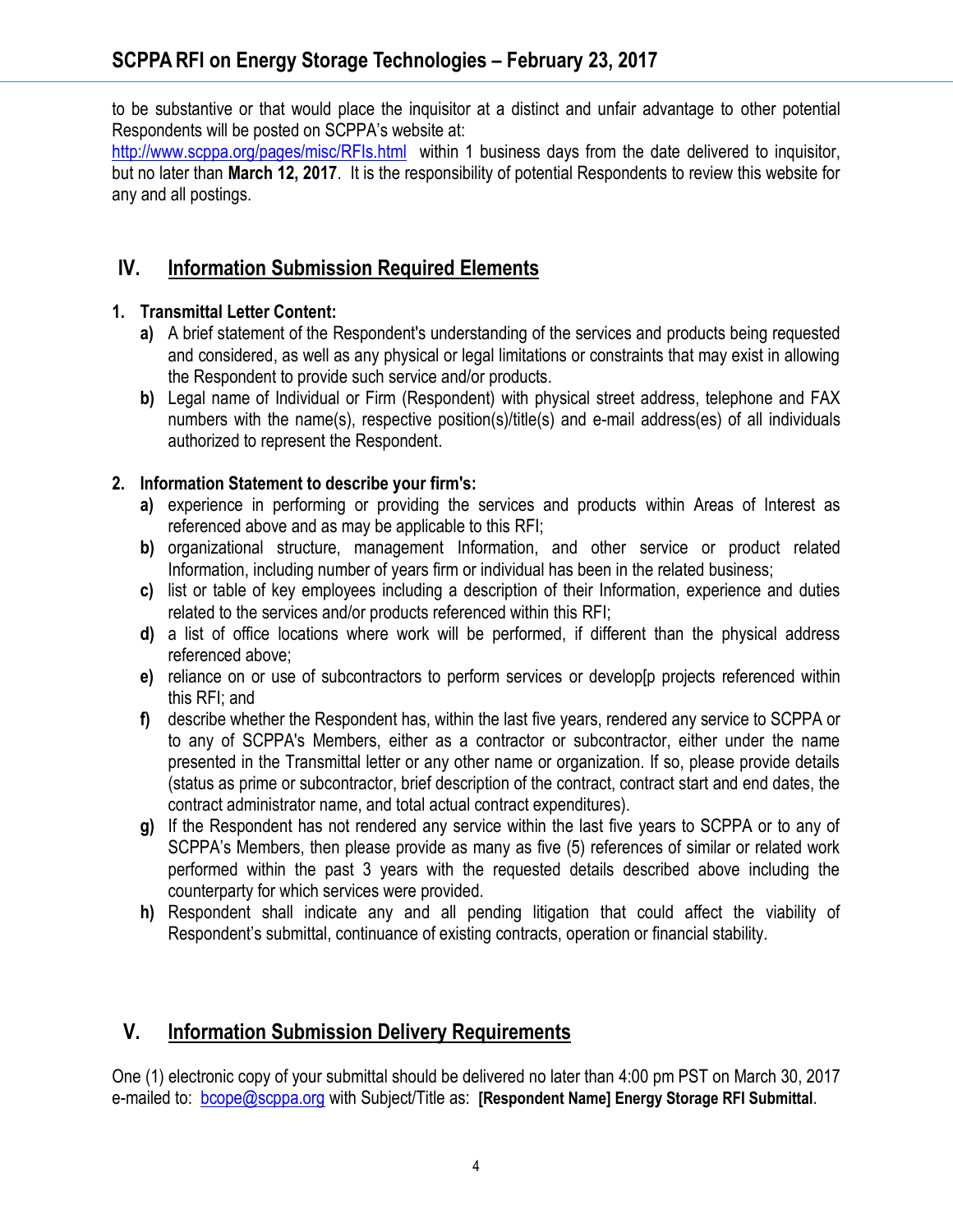to be substantive or that would place the inquisitor at a distinct and unfair advantage to other potential Respondents will be posted on SCPPA's website at:

[http://www.scppa.org/pages/misc/RFIs.html](http://www.scppa.org/pages/misc/RFPs.html) within 1 business days from the date delivered to inquisitor, but no later than **March 12, 2017**. It is the responsibility of potential Respondents to review this website for any and all postings.

# **IV. Information Submission Required Elements**

#### **1. Transmittal Letter Content:**

- **a)** A brief statement of the Respondent's understanding of the services and products being requested and considered, as well as any physical or legal limitations or constraints that may exist in allowing the Respondent to provide such service and/or products.
- **b)** Legal name of Individual or Firm (Respondent) with physical street address, telephone and FAX numbers with the name(s), respective position(s)/title(s) and e-mail address(es) of all individuals authorized to represent the Respondent.

#### **2. Information Statement to describe your firm's:**

- **a)** experience in performing or providing the services and products within Areas of Interest as referenced above and as may be applicable to this RFI;
- **b)** organizational structure, management Information, and other service or product related Information, including number of years firm or individual has been in the related business;
- **c)** list or table of key employees including a description of their Information, experience and duties related to the services and/or products referenced within this RFI;
- **d)** a list of office locations where work will be performed, if different than the physical address referenced above;
- **e)** reliance on or use of subcontractors to perform services or develop[p projects referenced within this RFI; and
- **f)** describe whether the Respondent has, within the last five years, rendered any service to SCPPA or to any of SCPPA's Members, either as a contractor or subcontractor, either under the name presented in the Transmittal letter or any other name or organization. If so, please provide details (status as prime or subcontractor, brief description of the contract, contract start and end dates, the contract administrator name, and total actual contract expenditures).
- **g)** If the Respondent has not rendered any service within the last five years to SCPPA or to any of SCPPA's Members, then please provide as many as five (5) references of similar or related work performed within the past 3 years with the requested details described above including the counterparty for which services were provided.
- **h)** Respondent shall indicate any and all pending litigation that could affect the viability of Respondent's submittal, continuance of existing contracts, operation or financial stability.

## **V. Information Submission Delivery Requirements**

One (1) electronic copy of your submittal should be delivered no later than 4:00 pm PST on March 30, 2017 e-mailed to: [bcope@scppa.org](mailto:bcope@scppa.org) with Subject/Title as: **[Respondent Name] Energy Storage RFI Submittal**.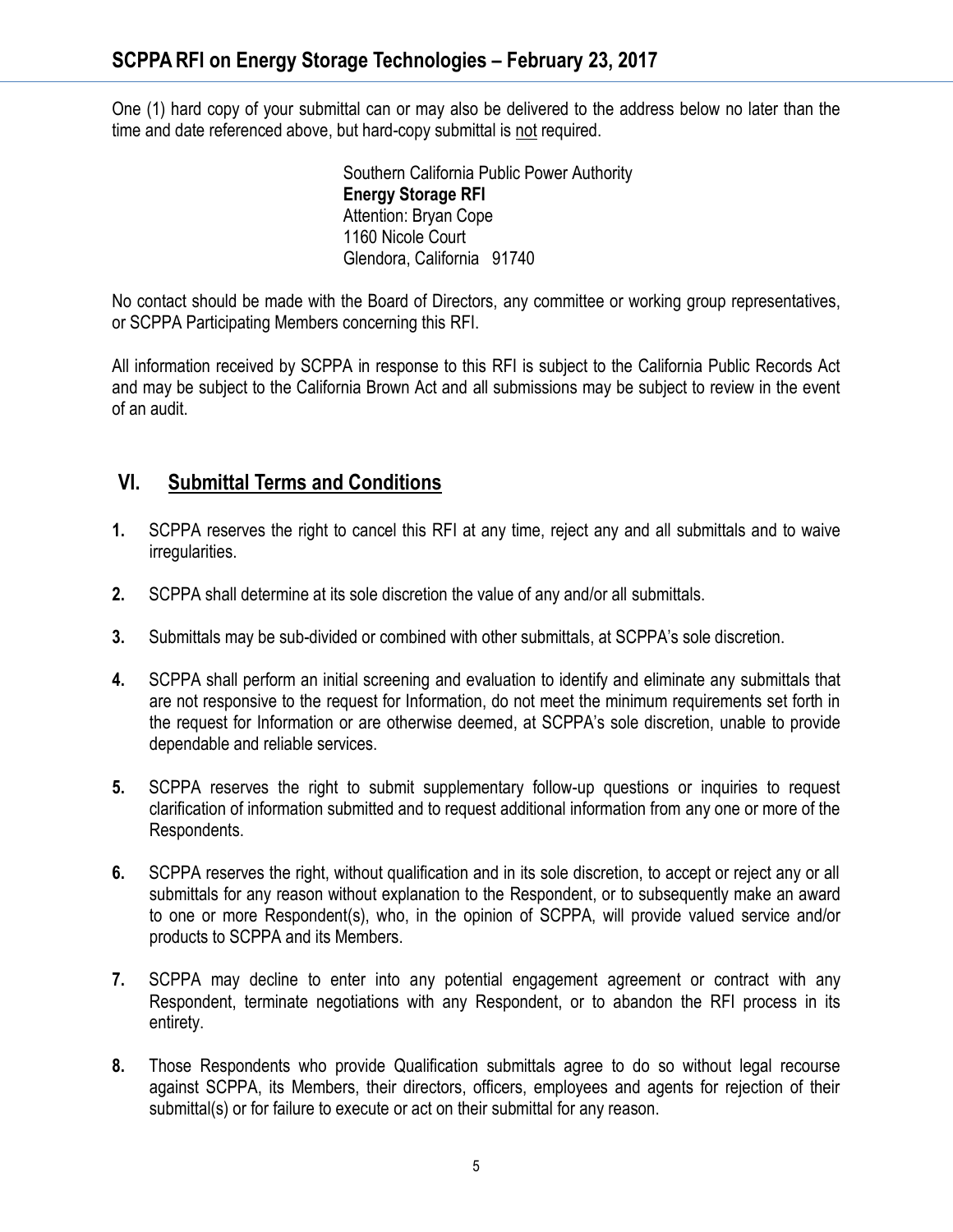One (1) hard copy of your submittal can or may also be delivered to the address below no later than the time and date referenced above, but hard-copy submittal is not required.

> Southern California Public Power Authority **Energy Storage RFI** Attention: Bryan Cope 1160 Nicole Court Glendora, California 91740

No contact should be made with the Board of Directors, any committee or working group representatives, or SCPPA Participating Members concerning this RFI.

All information received by SCPPA in response to this RFI is subject to the California Public Records Act and may be subject to the California Brown Act and all submissions may be subject to review in the event of an audit.

## **VI. Submittal Terms and Conditions**

- **1.** SCPPA reserves the right to cancel this RFI at any time, reject any and all submittals and to waive irregularities.
- **2.** SCPPA shall determine at its sole discretion the value of any and/or all submittals.
- **3.** Submittals may be sub-divided or combined with other submittals, at SCPPA's sole discretion.
- **4.** SCPPA shall perform an initial screening and evaluation to identify and eliminate any submittals that are not responsive to the request for Information, do not meet the minimum requirements set forth in the request for Information or are otherwise deemed, at SCPPA's sole discretion, unable to provide dependable and reliable services.
- **5.** SCPPA reserves the right to submit supplementary follow-up questions or inquiries to request clarification of information submitted and to request additional information from any one or more of the Respondents.
- **6.** SCPPA reserves the right, without qualification and in its sole discretion, to accept or reject any or all submittals for any reason without explanation to the Respondent, or to subsequently make an award to one or more Respondent(s), who, in the opinion of SCPPA, will provide valued service and/or products to SCPPA and its Members.
- **7.** SCPPA may decline to enter into any potential engagement agreement or contract with any Respondent, terminate negotiations with any Respondent, or to abandon the RFI process in its entirety.
- **8.** Those Respondents who provide Qualification submittals agree to do so without legal recourse against SCPPA, its Members, their directors, officers, employees and agents for rejection of their submittal(s) or for failure to execute or act on their submittal for any reason.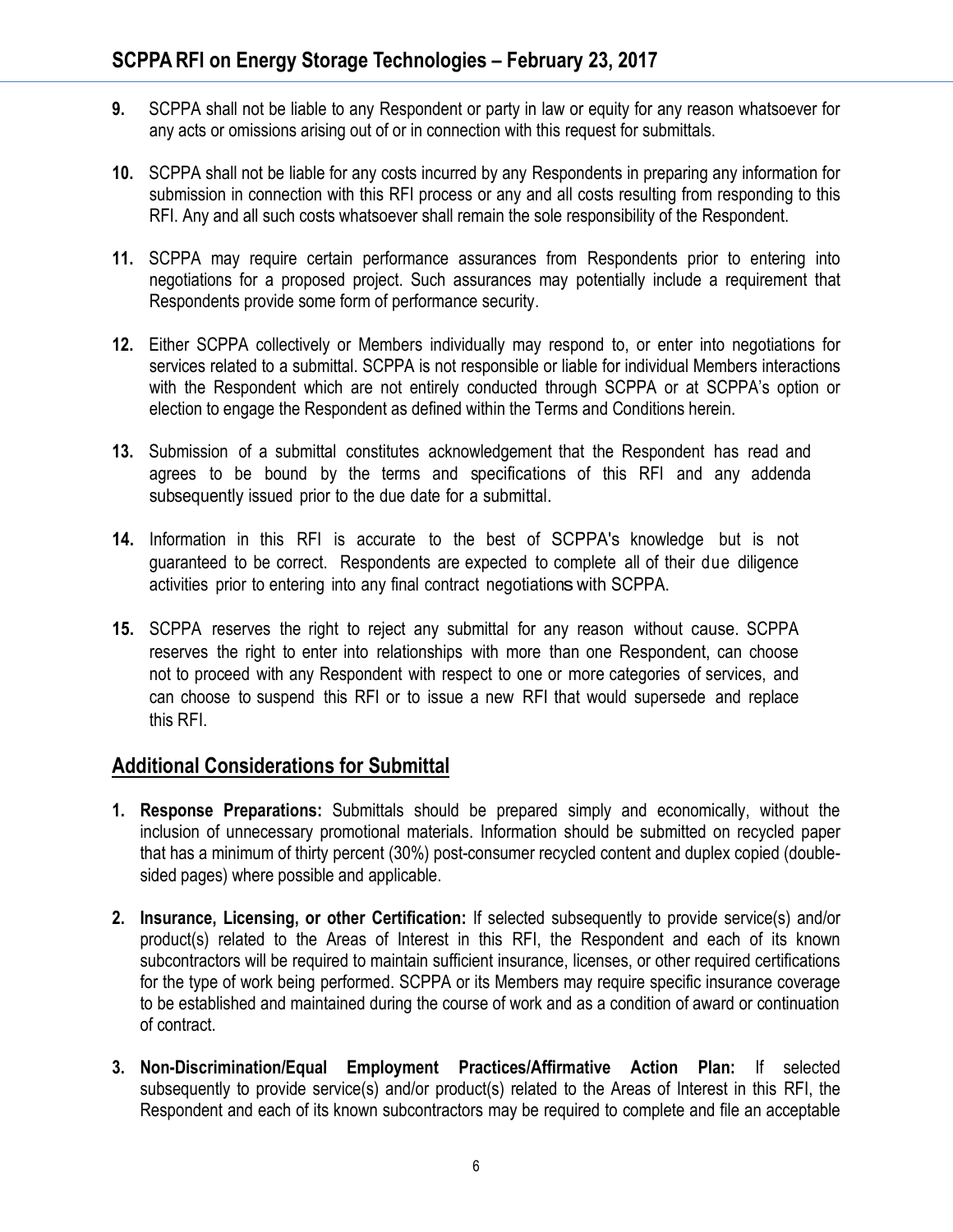- **9.** SCPPA shall not be liable to any Respondent or party in law or equity for any reason whatsoever for any acts or omissions arising out of or in connection with this request for submittals.
- **10.** SCPPA shall not be liable for any costs incurred by any Respondents in preparing any information for submission in connection with this RFI process or any and all costs resulting from responding to this RFI. Any and all such costs whatsoever shall remain the sole responsibility of the Respondent.
- **11.** SCPPA may require certain performance assurances from Respondents prior to entering into negotiations for a proposed project. Such assurances may potentially include a requirement that Respondents provide some form of performance security.
- **12.** Either SCPPA collectively or Members individually may respond to, or enter into negotiations for services related to a submittal. SCPPA is not responsible or liable for individual Members interactions with the Respondent which are not entirely conducted through SCPPA or at SCPPA's option or election to engage the Respondent as defined within the Terms and Conditions herein.
- **13.** Submission of a submittal constitutes acknowledgement that the Respondent has read and agrees to be bound by the terms and specifications of this RFI and any addenda subsequently issued prior to the due date for a submittal.
- **14.** Information in this RFI is accurate to the best of SCPPA's knowledge but is not guaranteed to be correct. Respondents are expected to complete all of their due diligence activities prior to entering into any final contract negotiations with SCPPA.
- **15.** SCPPA reserves the right to reject any submittal for any reason without cause. SCPPA reserves the right to enter into relationships with more than one Respondent, can choose not to proceed with any Respondent with respect to one or more categories of services, and can choose to suspend this RFI or to issue a new RFI that would supersede and replace this RFI.

## **Additional Considerations for Submittal**

- **1. Response Preparations:** Submittals should be prepared simply and economically, without the inclusion of unnecessary promotional materials. Information should be submitted on recycled paper that has a minimum of thirty percent (30%) post-consumer recycled content and duplex copied (doublesided pages) where possible and applicable.
- **2. Insurance, Licensing, or other Certification:** If selected subsequently to provide service(s) and/or product(s) related to the Areas of Interest in this RFI, the Respondent and each of its known subcontractors will be required to maintain sufficient insurance, licenses, or other required certifications for the type of work being performed. SCPPA or its Members may require specific insurance coverage to be established and maintained during the course of work and as a condition of award or continuation of contract.
- **3. Non-Discrimination/Equal Employment Practices/Affirmative Action Plan:** If selected subsequently to provide service(s) and/or product(s) related to the Areas of Interest in this RFI, the Respondent and each of its known subcontractors may be required to complete and file an acceptable